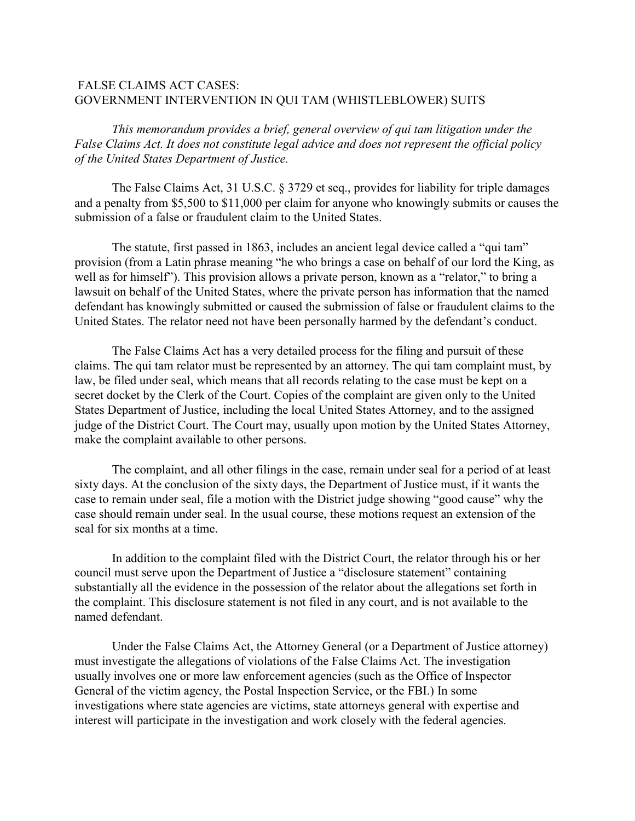## FALSE CLAIMS ACT CASES: GOVERNMENT INTERVENTION IN QUI TAM (WHISTLEBLOWER) SUITS

*This memorandum provides a brief, general overview of qui tam litigation under the False Claims Act. It does not constitute legal advice and does not represent the official policy of the United States Department of Justice.* 

The False Claims Act, 31 U.S.C. § 3729 et seq., provides for liability for triple damages and a penalty from \$5,500 to \$11,000 per claim for anyone who knowingly submits or causes the submission of a false or fraudulent claim to the United States.

The statute, first passed in 1863, includes an ancient legal device called a "qui tam" provision (from a Latin phrase meaning "he who brings a case on behalf of our lord the King, as well as for himself"). This provision allows a private person, known as a "relator," to bring a lawsuit on behalf of the United States, where the private person has information that the named defendant has knowingly submitted or caused the submission of false or fraudulent claims to the United States. The relator need not have been personally harmed by the defendant's conduct.

The False Claims Act has a very detailed process for the filing and pursuit of these claims. The qui tam relator must be represented by an attorney. The qui tam complaint must, by law, be filed under seal, which means that all records relating to the case must be kept on a secret docket by the Clerk of the Court. Copies of the complaint are given only to the United States Department of Justice, including the local United States Attorney, and to the assigned judge of the District Court. The Court may, usually upon motion by the United States Attorney, make the complaint available to other persons.

The complaint, and all other filings in the case, remain under seal for a period of at least sixty days. At the conclusion of the sixty days, the Department of Justice must, if it wants the case to remain under seal, file a motion with the District judge showing "good cause" why the case should remain under seal. In the usual course, these motions request an extension of the seal for six months at a time.

In addition to the complaint filed with the District Court, the relator through his or her council must serve upon the Department of Justice a "disclosure statement" containing substantially all the evidence in the possession of the relator about the allegations set forth in the complaint. This disclosure statement is not filed in any court, and is not available to the named defendant.

Under the False Claims Act, the Attorney General (or a Department of Justice attorney) must investigate the allegations of violations of the False Claims Act. The investigation usually involves one or more law enforcement agencies (such as the Office of Inspector General of the victim agency, the Postal Inspection Service, or the FBI.) In some investigations where state agencies are victims, state attorneys general with expertise and interest will participate in the investigation and work closely with the federal agencies.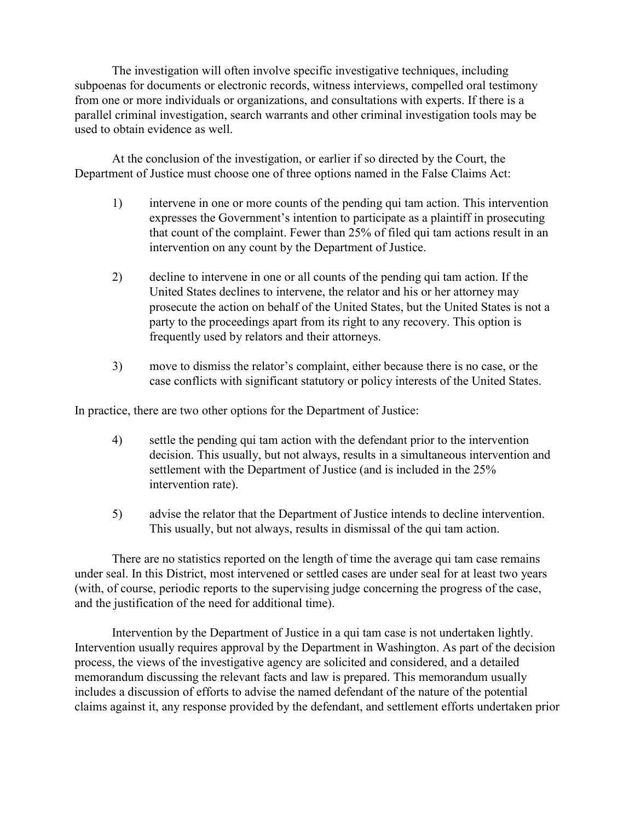The investigation will often involve specific investigative techniques, including subpoenas for documents or electronic records, witness interviews, compelled oral testimony from one or more individuals or organizations, and consultations with experts. If there is a parallel criminal investigation, search warrants and other criminal investigation tools may be used to obtain evidence as well.

At the conclusion of the investigation, or earlier if so directed by the Court, the Department of Justice must choose one of three options named in the False Claims Act:

- 1) intervene in one or more counts of the pending qui tam action. This intervention expresses the Government's intention to participate as a plaintiff in prosecuting that count of the complaint. Fewer than 25% of filed qui tam actions result in an intervention on any count by the Department of Justice.
- 2) decline to intervene in one or all counts of the pending qui tam action. If the United States declines to intervene, the relator and his or her attorney may prosecute the action on behalf of the United States, but the United States is not a party to the proceedings apart from its right to any recovery. This option is frequently used by relators and their attorneys.
- 3) move to dismiss the relator's complaint, either because there is no case, or the case conflicts with significant statutory or policy interests of the United States.

In practice, there are two other options for the Department of Justice:

- 4) settle the pending qui tam action with the defendant prior to the intervention decision. This usually, but not always, results in a simultaneous intervention and settlement with the Department of Justice (and is included in the 25% intervention rate).
- 5) advise the relator that the Department of Justice intends to decline intervention. This usually, but not always, results in dismissal of the qui tam action.

There are no statistics reported on the length of time the average qui tam case remains under seal. In this District, most intervened or settled cases are under seal for at least two years (with, of course, periodic reports to the supervising judge concerning the progress of the case, and the justification of the need for additional time).

Intervention by the Department of Justice in a qui tam case is not undertaken lightly. Intervention usually requires approval by the Department in Washington. As part of the decision process, the views of the investigative agency are solicited and considered, and a detailed memorandum discussing the relevant facts and law is prepared. This memorandum usually includes a discussion of efforts to advise the named defendant of the nature of the potential claims against it, any response provided by the defendant, and settlement efforts undertaken prior